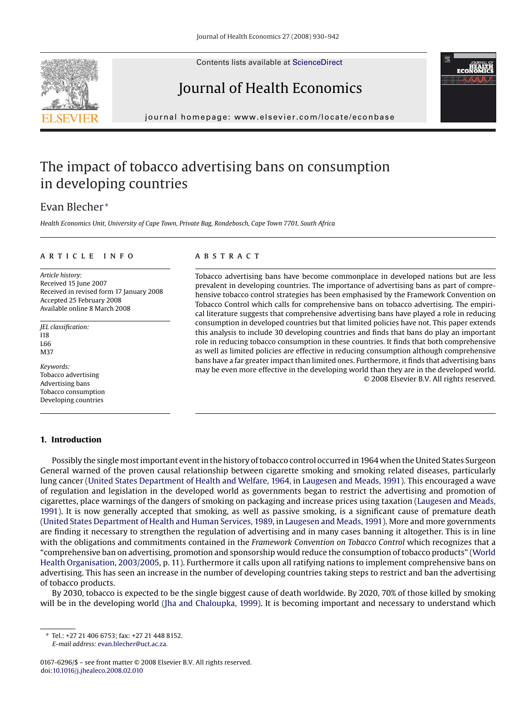Contents lists available at [ScienceDirect](http://www.sciencedirect.com/science/journal/01676296)





journal homepage: www.elsevier.com/locate/econbase

## The impact of tobacco advertising bans on consumption in developing countries

### Evan Blecher <sup>∗</sup>

*Health Economics Unit, University of Cape Town, Private Bag, Rondebosch, Cape Town 7701, South Africa*

#### article info

*Article history:* Received 15 June 2007 Received in revised form 17 January 2008 Accepted 25 February 2008 Available online 8 March 2008

*JEL classification:* I18 L66 M37

*Keywords:* Tobacco advertising Advertising bans Tobacco consumption Developing countries

#### **1. Introduction**

#### **ABSTRACT**

Tobacco advertising bans have become commonplace in developed nations but are less prevalent in developing countries. The importance of advertising bans as part of comprehensive tobacco control strategies has been emphasised by the Framework Convention on Tobacco Control which calls for comprehensive bans on tobacco advertising. The empirical literature suggests that comprehensive advertising bans have played a role in reducing consumption in developed countries but that limited policies have not. This paper extends this analysis to include 30 developing countries and finds that bans do play an important role in reducing tobacco consumption in these countries. It finds that both comprehensive as well as limited policies are effective in reducing consumption although comprehensive bans have a far greater impact than limited ones. Furthermore, it finds that advertising bans may be even more effective in the developing world than they are in the developed world. © 2008 Elsevier B.V. All rights reserved.

Possibly the single most important event in the history of tobacco control occurred in 1964 when the United States Surgeon General warned of the proven causal relationship between cigarette smoking and smoking related diseases, particularly lung cancer [\(United States Department of Health and Welfare, 1964, i](#page--1-0)n [Laugesen and Meads, 1991\).](#page--1-0) This encouraged a wave of regulation and legislation in the developed world as governments began to restrict the advertising and promotion of cigarettes, place warnings of the dangers of smoking on packaging and increase prices using taxation [\(Laugesen and Meads,](#page--1-0) [1991\).](#page--1-0) It is now generally accepted that smoking, as well as passive smoking, is a significant cause of premature death [\(United States Department of Health and Human Services, 1989, i](#page--1-0)n [Laugesen and Meads, 1991\).](#page--1-0) More and more governments are finding it necessary to strengthen the regulation of advertising and in many cases banning it altogether. This is in line with the obligations and commitments contained in the *Framework Convention on Tobacco Control* which recognizes that a "comprehensive ban on advertising, promotion and sponsorship would reduce the consumption of tobacco products" ([World](#page--1-0) [Health Organisation, 2003/2005, p](#page--1-0). 11). Furthermore it calls upon all ratifying nations to implement comprehensive bans on advertising. This has seen an increase in the number of developing countries taking steps to restrict and ban the advertising of tobacco products.

By 2030, tobacco is expected to be the single biggest cause of death worldwide. By 2020, 70% of those killed by smoking will be in the developing world ([Jha and Chaloupka, 1999\).](#page--1-0) It is becoming important and necessary to understand which

∗ Tel.: +27 21 406 6753; fax: +27 21 448 8152. *E-mail address:* [evan.blecher@uct.ac.za](mailto:evan.blecher@uct.ac.za).

<sup>0167-6296/\$ –</sup> see front matter © 2008 Elsevier B.V. All rights reserved. doi:[10.1016/j.jhealeco.2008.02.010](dx.doi.org/10.1016/j.jhealeco.2008.02.010)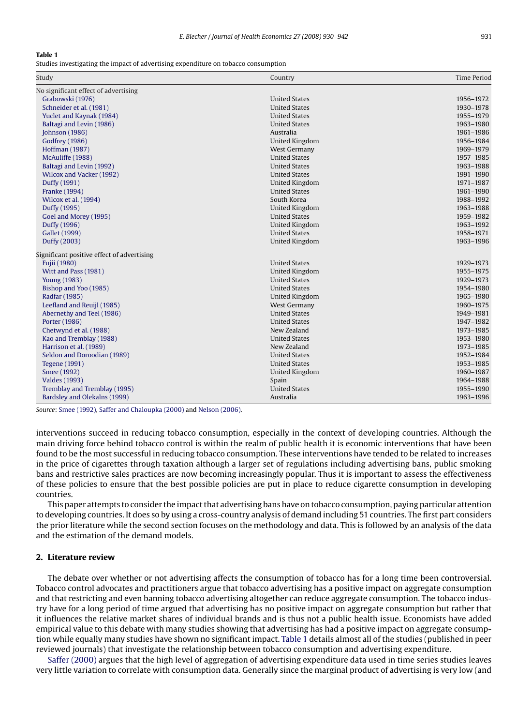#### **Table 1**

Studies investigating the impact of advertising expenditure on tobacco consumption

| Study                                      | Country              | <b>Time Period</b> |
|--------------------------------------------|----------------------|--------------------|
| No significant effect of advertising       |                      |                    |
| Grabowski (1976)                           | <b>United States</b> | 1956-1972          |
| Schneider et al. (1981)                    | <b>United States</b> | 1930-1978          |
| Yuclet and Kaynak (1984)                   | <b>United States</b> | 1955-1979          |
| Baltagi and Levin (1986)                   | <b>United States</b> | 1963-1980          |
| Johnson (1986)                             | Australia            | 1961-1986          |
| <b>Godfrey</b> (1986)                      | United Kingdom       | 1956-1984          |
| Hoffman (1987)                             | West Germany         | 1969-1979          |
| McAuliffe (1988)                           | <b>United States</b> | 1957-1985          |
| Baltagi and Levin (1992)                   | <b>United States</b> | 1963-1988          |
| Wilcox and Vacker (1992)                   | <b>United States</b> | 1991-1990          |
| Duffy (1991)                               | United Kingdom       | 1971-1987          |
| <b>Franke</b> (1994)                       | <b>United States</b> | 1961-1990          |
| Wilcox et al. (1994)                       | South Korea          | 1988-1992          |
| Duffy (1995)                               | United Kingdom       | 1963-1988          |
| Goel and Morey (1995)                      | <b>United States</b> | 1959-1982          |
| Duffy (1996)                               | United Kingdom       | 1963-1992          |
| Gallet (1999)                              | <b>United States</b> | 1958-1971          |
| Duffy (2003)                               | United Kingdom       | 1963-1996          |
| Significant positive effect of advertising |                      |                    |
| Fujii (1980)                               | <b>United States</b> | 1929-1973          |
| Witt and Pass (1981)                       | United Kingdom       | 1955-1975          |
| Young (1983)                               | <b>United States</b> | 1929-1973          |
| Bishop and Yoo (1985)                      | <b>United States</b> | 1954-1980          |
| Radfar (1985)                              | United Kingdom       | 1965-1980          |
| Leefland and Reuijl (1985)                 | West Germany         | 1960-1975          |
| Abernethy and Teel (1986)                  | <b>United States</b> | 1949-1981          |
| Porter (1986)                              | <b>United States</b> | 1947-1982          |
| Chetwynd et al. (1988)                     | New Zealand          | 1973-1985          |
| Kao and Tremblay (1988)                    | <b>United States</b> | 1953-1980          |
| Harrison et al. (1989)                     | New Zealand          | 1973-1985          |
| Seldon and Doroodian (1989)                | <b>United States</b> | 1952-1984          |
| Tegene (1991)                              | <b>United States</b> | 1953-1985          |
| Smee (1992)                                | United Kingdom       | 1960-1987          |
| <b>Valdes</b> (1993)                       | Spain                | 1964-1988          |
| Tremblay and Tremblay (1995)               | <b>United States</b> | 1955-1990          |
| Bardsley and Olekalns (1999)               | Australia            | 1963-1996          |

*Source*: [Smee \(1992\),](#page--1-0) [Saffer and Chaloupka \(2000\)](#page--1-0) and [Nelson \(2006\).](#page--1-0)

interventions succeed in reducing tobacco consumption, especially in the context of developing countries. Although the main driving force behind tobacco control is within the realm of public health it is economic interventions that have been found to be the most successful in reducing tobacco consumption. These interventions have tended to be related to increases in the price of cigarettes through taxation although a larger set of regulations including advertising bans, public smoking bans and restrictive sales practices are now becoming increasingly popular. Thus it is important to assess the effectiveness of these policies to ensure that the best possible policies are put in place to reduce cigarette consumption in developing countries.

This paper attempts to consider the impact that advertising bans have on tobacco consumption, paying particular attention to developing countries. It does so by using a cross-country analysis of demand including 51 countries. The first part considers the prior literature while the second section focuses on the methodology and data. This is followed by an analysis of the data and the estimation of the demand models.

#### **2. Literature review**

The debate over whether or not advertising affects the consumption of tobacco has for a long time been controversial. Tobacco control advocates and practitioners argue that tobacco advertising has a positive impact on aggregate consumption and that restricting and even banning tobacco advertising altogether can reduce aggregate consumption. The tobacco industry have for a long period of time argued that advertising has no positive impact on aggregate consumption but rather that it influences the relative market shares of individual brands and is thus not a public health issue. Economists have added empirical value to this debate with many studies showing that advertising has had a positive impact on aggregate consumption while equally many studies have shown no significant impact. Table 1 details almost all of the studies (published in peer reviewed journals) that investigate the relationship between tobacco consumption and advertising expenditure.

[Saffer \(2000\)](#page--1-0) argues that the high level of aggregation of advertising expenditure data used in time series studies leaves very little variation to correlate with consumption data. Generally since the marginal product of advertising is very low (and